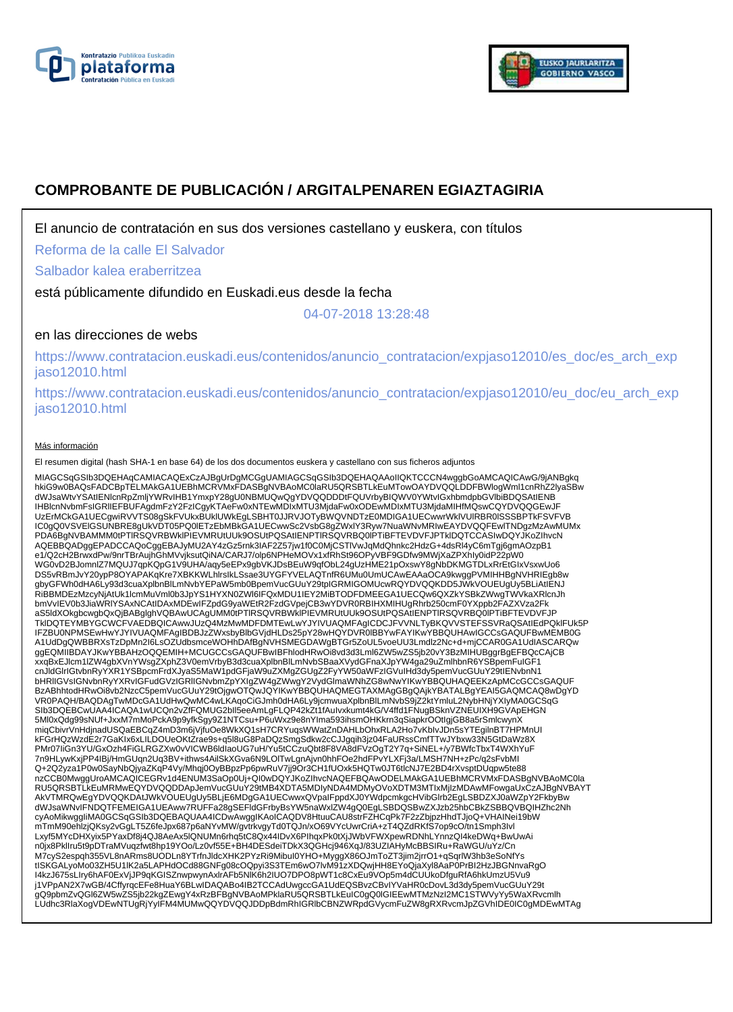



# **COMPROBANTE DE PUBLICACIÓN / ARGITALPENAREN EGIAZTAGIRIA**

El anuncio de contratación en sus dos versiones castellano y euskera, con títulos

Reforma de la calle El Salvador

Salbador kalea eraberritzea

está públicamente difundido en Euskadi.eus desde la fecha

04-07-2018 13:28:48

# en las direcciones de webs

https://www.contratacion.euskadi.eus/contenidos/anuncio\_contratacion/expjaso12010/es\_doc/es\_arch\_exp jaso12010.html

https://www.contratacion.euskadi.eus/contenidos/anuncio\_contratacion/expjaso12010/eu\_doc/eu\_arch\_exp jaso12010.html

#### Más información

El resumen digital (hash SHA-1 en base 64) de los dos documentos euskera y castellano con sus ficheros adjuntos

MIAGCSqGSIb3DQEHAqCAMIACAQExCzAJBgUrDgMCGgUAMIAGCSqGSIb3DQEHAQAAoIIQKTCCCN4wggbGoAMCAQICAwG/9jANBgkq<br>hkiG9w0BAQsFADCBpTELMAkGA1UEBhMcRVMxFDASBgNVBAoMC0laRU5QR5BTLkEuMTowOAYDVQQLDDFBWIogIWmI1cnRhZ2lyaSBw<br>dWJsaWtvYSAtIENIcnR UzErMCkGA1UECgwiRVVTS08gSkFVUkxBUklUWkEgLSBHT0JJRVJOTyBWQVNDTzE0MDIGA1UECwwrWklVUlRBR0lSSSBPTkFSVFVB IC0gQ0VSVElGSUNBRE8gUkVDT05PQ0lETzEbMBkGA1UECwwSc2VsbG8gZWxlY3Ryw7NuaWNvMRIwEAYDVQQFEwlTNDgzMzAwMUMx PDA6BgNVBAMMM0tPTlRSQVRBWklPIEVMRUtUUk9OSUtPQSAtIENPTlRSQVRBQ0lPTiBFTEVDVFJPTklDQTCCASIwDQYJKoZIhvcN AQEBBQADggEPADCCAQoCggEBAJyMU2AY4zGz5rnk3IAF2Z57jw1f0C0MjCSTlVwJqMdQhnkc2HdzG+4dsRl4yC6mTgj6gmAOzpB1 e1/Q2cH2BrwxdPw/9nrTBrAujhGhMVvjksutQiNA/CARJ7/olp6NPHeMOVx1xfRhSt96OPyVBF9GDfw9MWjXaZPXhIy0idP22pW0<br>WG0vD2BJomnlZ7MQUJ7qpKQpG1V9UHA/aqy5eEPx9gbVKJDsBEuW9qfObL24gUzHME21pOxswY8gNbDKMGTDLxRrEtGIxVsxwUo6 DS5vRBmJvY20ypP8OYAPAKqKre7XBKKWLhIrsIkLSsae3UYGFYVELAQTnfR6UMu0UmUCAwEAAaOCA9kwggPVMIHHBgNVHRIEgb8w<br>gbyGFWh0dHA6Ly93d3cuaXplbnBlLmNvbYEPaW5mb0BpemVucGUuY29tpIGRMIGOMUcwRQYDVQQKDD5JWkVOUEUgUy5BLiAtIENJ<br>RiBBMDEzMzcyNjAtUk1I bmVvIEV0b3JiaWRlYSAxNCAtIDAxMDEwIFZpdG9yaWEtR2FzdGVpejCB3wYDVR0RBIHXMIHUgRhrb250cmF0YXppb2FAZXVza2Fk aS5ldXOkgbcwgbQxQjBABglghVQBAwUCAgUMM0tPTlRSQVRBWklPIEVMRUtUUk9OSUtPQSAtIENPTlRSQVRBQ0lPTiBFTEVDVFJP TklDQTEYMBYGCWCFVAEDBQICAwwJUzQ4MzMwMDFDMTEwLwYJYIVUAQMFAgICDCJFVVNLTyBKQVVSTEFSSVRaQSAtIEdPQklFUk5P IFZBU0NPMSEwHwYJYIVUAQMFAgIBDBJzZWxsbyBlbGVjdHLDs25pY28wHQYDVR0lBBYwFAYIKwYBBQUHAwIGCCsGAQUFBwMEMB0G<br>A1UdDgQWBBRXsTzDpMn2l6LsOZUdbsmceWOHhDAfBgNVHSMEGDAWgBTGr5ZoUL5voeUU3Lmdlz2Nc+d+mjCCAR0GA1UdIASCARQw<br>ggEQMIIBDAYJKwYBBAHz xxqBxEJlcm1lZW4gbXVnYWsgZXphZ3V0emVrbyB3d3cuaXplbnBlLmNvbSBaaXVydGFnaXJpYW4ga29uZmlhbnR6YSBpemFuIGF1 cnJldGlrIGtvbnRyYXR1YSBpcmFrdXJyaS5MaW1pdGFjaW9uZXMgZGUgZ2FyYW50aWFzIGVuIHd3dy5pemVucGUuY29tIENvbnN1 bHRlIGVsIGNvbnRyYXRvIGFudGVzIGRlIGNvbmZpYXIgZW4gZWwgY2VydGlmaWNhZG8wNwYIKwYBBQUHAQEEKzApMCcGCCsGAQUF BzABhhtodHRwOi8vb2NzcC5pemVucGUuY29tOjgwOTQwJQYIKwYBBQUHAQMEGTAXMAgGBgQAjkYBATALBgYEAI5GAQMCAQ8wDgYD VR0PAQH/BAQDAgTwMDcGA1UdHwQwMC4wLKAqoCiGJmh0dHA6Ly9jcmwuaXplbnBlLmNvbS9jZ2ktYmluL2NybHNjYXIyMA0GCSqG SIb3DQEBCwUAA4ICAQA1wUCQn2vZfFQMUG2bll5eeAmLgFLQP42kZt1fAuIvxkumt4kG/V4ffd1FNugBSknVZNEUIXH9GVApEHGN<br>5Ml0xQdg99sNUf+JxxM7mMoPckA9p9yfkSgy9Z1NTCsu+P6uWxz9e8nYIma593ihsmOHKkrn3qSiapkrOOtIgjGB8a5rSmlcwynX miqCbivrVnHdjnadUSQaEBCqZ4mD3m6jVjfuOe8WkXQ1sH7CRYuqsWWatZnDAHLbOhxRLA2Ho7vKbIvJDn5sYTEgilnBT7HPMnUI kFGrHQzWzdE2r7GaKIx6xLILDOUeOKtZrae9s+q5l8uG8PaDQzSmgSdkw2cCJJgqih3jz04FaURssCmfTTwJYbxw33N5GtDaWz8X PMr07IiGn3YU/GxOzh4FiGLRGZXw0vVICWB6ldIaoUG7uH/Yu5tCCzuQbt8F8VA8dFVzOgT2Y7q+SiNEL+/y7BWfcTbxT4WXhYuF 7n9HLywKxjPP4IBj/HmGUqn2Uq3BV+ithws4AilSkXGva6N9LOlTwLgnAjvn0hhFOe2hdFPvYLXFj3a/LMSH7NH+zPc/q2sFvbMI Q+2Q2yza1P0w0SayNbQjyaZKqP4Vy/Mhqj0OyBBpzPp6pwRuV7jj9Or3CH1fUOxk5HQTw0JT6tlcNJ7E2BD4rXvsptDUqpw5te88 nzCCB0MwggUroAMCAQICEGRv1d4ENUM3SaOp0Uj+QI0wDQYJKoZIhvcNAQEFBQAwODELMAkGA1UEBhMCRVMxFDASBgNVBAoMC0la RU5QRSBTLkEuMRMwEQYDVQQDDApJemVucGUuY29tMB4XDTA5MDIyNDA4MDMyOVoXDTM3MTIxMjIzMDAwMFowgaUxCzAJBgNVBAYT AkVTMRQwEgYDVQQKDAtJWkVOUEUgUy5BLjE6MDgGA1UECwwxQVpaIFppdXJ0YWdpcmkgcHVibGlrb2EgLSBDZXJ0aWZpY2FkbyBw<br>dWJsaWNvIFNDQTFEMEIGA1UEAww7RUFFa28gSEFIdGFrbyBsYW5naWxlZW4gQ0EgLSBDQSBwZXJzb25hbCBkZSBBQVBQIHZhc2Nh<br>cyAoMikwggliMA0GCSqG mTmM90ehlzjQKsy2vGgLT5Z6feJpx687p6aNYvMW/gvtrkvgyTd0TQJn/xO69VYcUwrCriA+zT4QZdRKfS7op9cO/tn1Smph3Ivl Lxyf5MYcDHXyix5PYaxDf8j4QJ8AeAx5lQNUMn6rhq5tC8Qx44IDvX6PIhqxPk0tXjJWbVFWXpewRDNhLYnnzQI4keDWq+BwUwAi n0jx8PklIru5t9pDTraMVuqzfwt8hp19YOo/Lz0vf55E+BH4DESdeiTDkX3QGHcj946XqJ/83UZIAHyMcBBSIRu+RaWGU/uYz/Cn M7cyS2espqh355VL8nARms8UODLn8YTrfnJldcXHK2PYzRi9MibuI0YHO+MyggX86OJmToZT3jim2jrrO1+qSqrlW3hb3eSoNfYs<br>tISKGALyoMo03ZH5U1IK2a5LAPHdOCd88GNFg08cOQpyi3S3TEm6wO7lvM91zXDQwjHH8EYoQjaXyI8AaP0PrBI2HzJBGNnvaRgO<br>I4kzJ675sLIry6hAF0Ex j1VPpAN2X7wGB/4CffyrqcEFe8HuaY6BLwIDAQABo4IB2TCCAdUwgccGA1UdEQSBvzCBvIYVaHR0cDovL3d3dy5pemVucGUuY29t<br>gQ9pbmZvQGl6ZW5wZS5jb22kgZEwgY4xRzBFBgNVBAoMPklaRU5QRSBTLkEuIC0gQ0IGIEEwMTMzNzI2MC1STWVyYy5WaXRvcmlh LUdhc3RlaXogVDEwNTUgRjYyIFM4MUMwQQYDVQQJDDpBdmRhIGRlbCBNZWRpdGVycmFuZW8gRXRvcmJpZGVhIDE0IC0gMDEwMTAg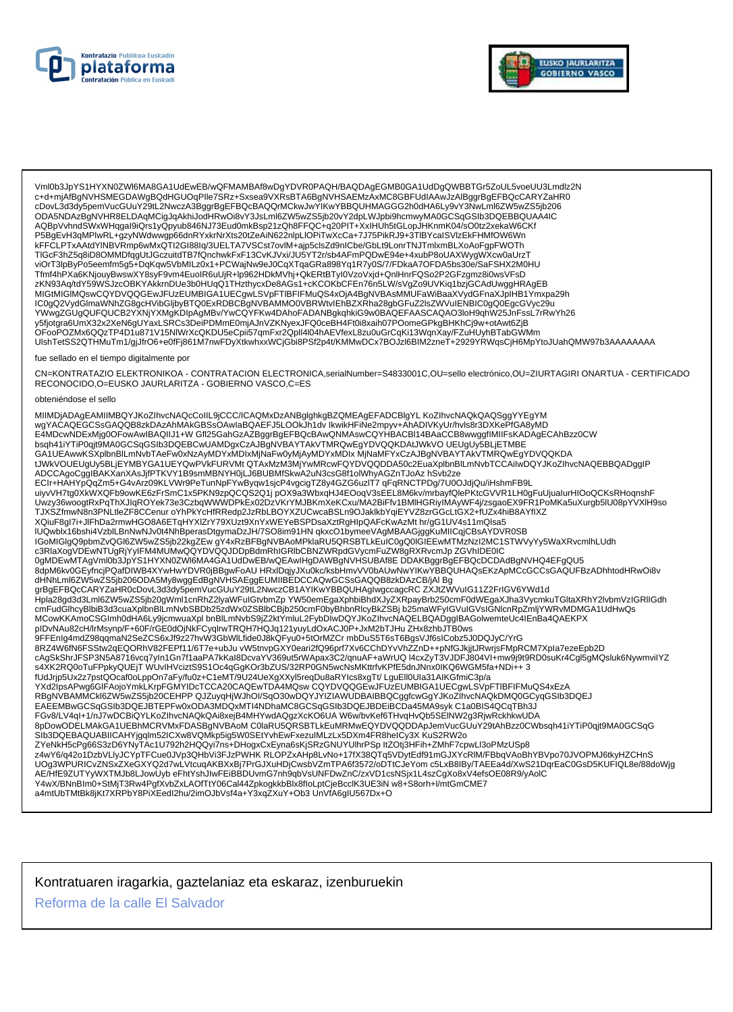



Vml0b3JpYS1HYXN0ZWl6MA8GA1UdEwEB/wQFMAMBAf8wDgYDVR0PAQH/BAQDAgEGMB0GA1UdDgQWBBTGr5ZoUL5voeUU3Lmdlz2N<br>c+d+mjAfBgNVHSMEGDAWgBQdHGUOqPIle7SRz+Sxsea9VXRsBTA6BgNVHSAEMzAxMC8GBFUdIAAwJzAlBggrBgEFBQcCARYZaHR0 cDovL3d3dy5pemVucGUuY29tL2NwczA3BggrBgEFBQcBAQQrMCkwJwYIKwYBBQUHMAGGG2h0dHA6Ly9vY3NwLml6ZW5wZS5jb206 ODA5NDAzBgNVHR8ELDAqMCigJqAkhiJodHRwOi8vY3JsLml6ZW5wZS5jb20vY2dpLWJpbi9hcmwyMA0GCSqGSIb3DQEBBQUAA4IC AQBpVvhndSWxWHqgal9iQrs1yQpyub846NJ73Eud0mkBsp21zQh8FFQC+q20PIT+XxIHUh5tGLopJHKnmK04/sO0tz2xekaW6CKf P5BgEvH3qMPlwRL+gzyNWdwwgp66dnRYxkrNrXts20tZeAiN622nlpLlOPiTwXcCa+7J75PikRJ9+3TlBYcaISVlzEkFHMfOW6Wn kFFCLPTxAAtdYlNBVRmp6wMxQTI2GI88Iq/3UELTA7VSCst7ovlM+ajp5clsZd9nICbe/GbLt9LonrTNJTmlxmBLXoAoFgpFWOTh TIGcF3hZ5q8iD8OMMDfqgUtJGczuitdTB7fQnchwkFxF13CvKJVxi/JU5YT2r/sb4AFmPQDwE94e+4xubP8oUAXWygWXcw0aUrzT zKN93Aq/tdY59WSJzcOBKYAKkrnDUe3b0HUqQ1THzthycxDe8AGs1+cKCOKbCFEn76n5LW/sVgZo9UVKiq1bzjGCAdUwggHRAgEB MIGtMIGIMQswCQYDVQQGEwJFUzEUMBIGA1UECgwLSVpFTIBFIFMuQS4xOjA4BgNVBAsMMUFaWiBaaXVydGFnaXJpIHB1Ymxpa29h IC0gQ2VydGlmaWNhZG8gcHVibGljbyBTQ0ExRDBCBgNVBAMMO0VBRWtvlEhBZXRha28gbGFuZ2lsZWVuIENBIC0gQ0EgcGVyc29u YWwgZGUgQUFQUCB2YXNjYXMgKDlpAgMBv/YwCQYFKw4DAhoFADANBgkqhkiG9w0BAQEFAASCAQAO3loH9qhW25JnFssL7rRwYh26 y5fjotgra6UmX32x2XeN6gUYaxLSRCs3DeiPDMmE0mjAJnVZKNyexJFQ0ceBH4Ft0i8xaih07POomeGPkgBHKhCj9w+otAwt6ZjB OFooPOZMx6QQzTP4D1u871V15NlWrXcQKDU5eCpii57qmFxr2Qpll4l04hAEVfexL8zu0uGrCqKi13WqnXay/FZuHUyhBTabGWMm UlshTetSS2QTHMuTm1/gjJfrO6+e0fFj861M7nwFDyXtkwhxxWCjGbi8PSf2p4t/KMMwDCx7BOJzl6BIM2zneT+2929YRWqsCjH6MpYtoJUahQMW97b3AAAAAAAA

#### fue sellado en el tiempo digitalmente por

CN=KONTRATAZIO ELEKTRONIKOA - CONTRATACION ELECTRONICA,serialNumber=S4833001C,OU=sello electrónico,OU=ZIURTAGIRI ONARTUA - CERTIFICADO RECONOCIDO, O=EUSKO JAURLARITZA - GOBIERNO VASCO, C=ES

#### obteniéndose el sello

MIIMDjADAgEAMIIMBQYJKoZIhvcNAQcCoIIL9jCCC/ICAQMxDzANBglghkgBZQMEAgEFADCBlgYL KoZIhvcNAQkQAQSggYYEgYM wgYACAQEGCSsGAQQB8zkDAzAhMAkGBSsOAwlaBQAEFJ5LOOKJh1dv lkwikHFiNe2mpyv+AhADIVKyUr/hvls8r3DXKePfGA8yMD E4MDcwNDExMjg0OFowAwIBAQIIJ1+W Gfl25GahGzAZBggrBgEFBQcBAwQNMAswCQYHBACBI14BAaCCB8wwggfIMIIFsKADAgECAhBzz0CW bsqh41iYTiP0qjt9MA0GCSqGSIb3DQEBCwUAMDgxCzAJBgNVBAYTAkVTMRQwEgYDVQQKDAtJWkVO UEUgUySBLjETMBE GA1UEAwwKSXplbnBlLmNvbTAeFw0xNzAyMDYxMDlxMjNaFw0yMjAyMDYxMDlxMjNaMFYxCzAJBgNVBAYTAkVTMRQwEgYDVQQKDA tJWkVOUEUgUy5BLjEYMBYGA1UEYQwPVkFURVMtQTAxMzM3MjYwMRcwFQYDVQQDDA50c2EuaXplbnBlLmNvbTCCAiIwDQYJKoZIhvcNAQEBBQADggIP ADCCAgoCggIBAKXanXAsJjfPTKVY1B9smMBNYH0jLJ6BUBMfSkwA2uN3csG8f1olWhyAGZnTJoAz hSvb2ze Uwzy36woogtRxPqThXJlqROYek73e3CzbqWWWDPkEx02DzVKrYMJBKmXeKCxu/MA2BiFfv1BMlHGRiylMAyWF4j/zsgaoEX9FR1PoMKa5uXurgb5lU08pYVXlH9so TJXSZfmwN8n3PNLtleZF8CCenur oYhPkYcHfRRedp2JzRbLBOYXZUCwcaBSLn9OJaklkbYqiEYVZ8zrGGcLtGX2+fUZx4hiB8AYfIXZ XQiuF8gl7i+JlFhDa2rmwHGO8A6ETqHYXlZrY79XUzt9XnYxWEYeBSPDsaXztRgHlpQAFcKwAzMt hr/gG1UV4s11mQlsa5 IUQwblx16bshi4VzblLBnNwNJv0t4NhBperasDtgymaDzJH/7SO8im91HN qkxcO1bymeeVAgMBAAGjggKuMIICqjCBsAYDVR0SB IGOMIGIgQ9pbmZvQGl6ZW5wZS5jb22kgZEwgY4xRzBFBgNVBAoMPklaRU5QRSBTLkEuIC0gQ0lGIEEwMTMzNzI2MC1STWVyYy5WaXRvcmlhLUdh<br>c3RlaXogVDEwNTUgRjYyIFM4MUMwQQYDVQQJDDpBdmRhIGRlbCBNZWRpdGVycmFuZW8gRXRvcmJp ZGVhIDE0IC "CONNECTING", "IN "INTERNATION", "IN "INTERNATIONAL INTERNATION IN THE WAS CONNECTED AND DEVITED ON A SAME DO A<br>- Ball DEWMTAgVml0b3JpYS1HYXN0ZWI6MA4GA1UdDwEB/wQEAwIHgDAWBgNVHSUBAf8E\_DDAKBggrBgEFBQcDCDAdBgNVHQ4EFgQU5<br>- Ba dHNhLml6ZW5wZS5jb206ODA5My8wggEdBgNVHSAEggEUMIIBEDCCAQwGCSsGAQQB8zkDAzCB/jAl Bg grBgEFBQcCARYZaHR0cDovL3d3dy5pemVucGUuY29tL2NwczCB1AYIKwYBBQUHAglwgccagcRC ZXJtZWVulG11Z2FrIGV6YWd1d .<br>Hpla28gd3d3Lml6ZW5wZS5jb20gWml1cnRhZ2lyaWFulGtvbmZp YW50emEgaXphbiBhdXJyZXRpayBrb250cmF0dWEgaXJha3VycmkuTGltaXRhY2lvbmVzIGRlIGdh cmFudGlhcyBlbiB3d3cuaXplbnBlLmNvbSBDb25zdWx0ZSBlbCBjb250cmF0byBhbnRlcyBkZSBj b25maWFyIGVuIGVsIGNlcnRpZmljYWRvMDMGA1UdHwQs MCowKKAmoCSGImh0dHA6Ly9jcmwuaXpl bnBlLmNvbS9jZ2ktYmluL2FybDIwDQYJKoZlhvcNAQELBQADggIBAGolwemteUc4lEnBa4QAEKPX<br>pIDvNAu82cH/lrMsynp/F+60F/rGE0dOjNkFCyqlrwTRQH7HQJq121yuyLdOxACJ0P+JxM2bTJHu ZHx8zhbJTB0ws 9FFEnlg4mdZ98qqmaN2SeZCS6xJf9z27hvW3GbWlLfide0J8kQFyu0+5tOrMZCr mbDuS5T6sT6BgsVJf6sICobz5J0DQJyC/YrG 8RZ4W6fN6FSStw2qEQORhV82FEPf11/6T7e+ubJu vW5tnvpGXY0eari2fQ96prf7Xv6CChDYvVhZZnD++pNfGJkjjtJRwrjsFMpRCM7Xpla7ezeEpb2D cAgSkShrJFSP3N5A8716vcq7yIn1Gn7f1aaPA7kKaI8DcvaYV369ut5rWApax3C2/qnuAF+aWrUQ l4cxZyT3VJDFJ804VI+mw9j9t9RD0suKr4Cgl5gMQsluk6NywmviIYZ s4XK2RQ0oTuFPpkyQUEjT WUvIHVciztS9S1Oc4qGgKOr3bZUS/32RP0GN5wcNsMKttrfvKPfE5dnJNnx0IKQ6WGM5fa+NDi++ 3 fUdJrjp5Ux2z7pstQOcaf0oLppOn7aFy/fu0z+C1eMT/9U24UeXgXXyl5reqDu8aRYIcs8xgTt/ LguEll0Ula31AIKGfmiC3p/a YXd2lpsAPwg6GIFAojoYmkLKrpFGMYIDcTCCA20CAQEwTDA4MQswCQYDVQQGEwJFUzEUMBIGA1UECgwLSVpFTIBFIFMuQS4xEzA REGIVE AMMCKI6ZW5w2S5jb20CEHPP QJZuyqHjWJhOI/SqO30wDQYJYIZIAWUDBAIBBQCggfcwGgYJKoZlhvcNAQkDMQ0GCyqGSlb3DQEJ<br>EAEEMBwGCSqGSlb3DQEJBTEPFw0xODA3MDQxMTI4NDhaMC8GCSqGSlb3DQEJBDEiBCDa45MA9syk C1a0BIS4QCqTBh3J FGv8/LV4ql+1/nJ7wDCBiQYLKoZlhvcNAQkQAi8xejB4MHYwdAQqzXcKO6UAWWbvKef6THvqHvQb5SEINW2q3RiwRckhkwUDA 8pDowODELMAkGA1UEBhMCRVMxFDASBgNVBAoM C0laRU5QRSBTLkEuMRMwEQYDVQQDDApJemVucGUuY29tAhBzz0CWbsqh41iYTiP0qjt9MA0GCSqG SIb3DQEBAQUABIICAHYjgqlm52ICXw8VQMkp5ig5W0SEtYvhEwFxezulMLzLx5DXm4FR8heICy3X KuS2RW2o ZYeNkH5cPg66S3zD6YNyTAc1U792h2HQQyi7ns+DHogxCxEyna6sKjSRzGNUYUlhrPSp ltZOtj3HFih+ZMhF7cpwLl3oPMzUSp8 z4wY6/q42o1DzbVLlyJCYpTFCue0JVp3QHbVi3FJzPWHKRLOPZxAHp8LvNo+17fX38QTq5VDytEdf91mGJXYcRlM/FBbqVAoBhYBVpo70JVOPMJ6tkyHZCHnS UOg3WPURICvZNSxZXeGXYQ2d7wLVtcuqAKBXxBj7PrGJXuHDjCwsbVZmTPA6f3572/oDTtCJeYomc5LxB8lBy/TAEEa4d/XwS21DqrEaC0GsD5KUFIQL8e/88doWjg AE/HfE9ZUTYyWXTMJb8LJowUybeFhtYshJIwFEiBBDUvmG7nh9qbVsUNFDwZnC/zxVD1csNSjx1L4szCgXo8xV4efsOE08R9/yAolC Y4wX/BNnBlm0+StMjT3Rw4PgfXvbZxLAOfTtY06Cal44ZpkogkkbBlx8floLptCjeBcclK3UE3iN w8+S8orh+l/mtGmCME7 a4mtUbTMtBk8jKt7XRPbY8PiXEedl2hu/2imOJbVsf4a+Y3xqZXuY+Ob3 UnVfA6glU567Dx+O

## Kontratuaren iragarkia, gaztelaniaz eta eskaraz, izenburuekin

Reforma de la calle El Salvador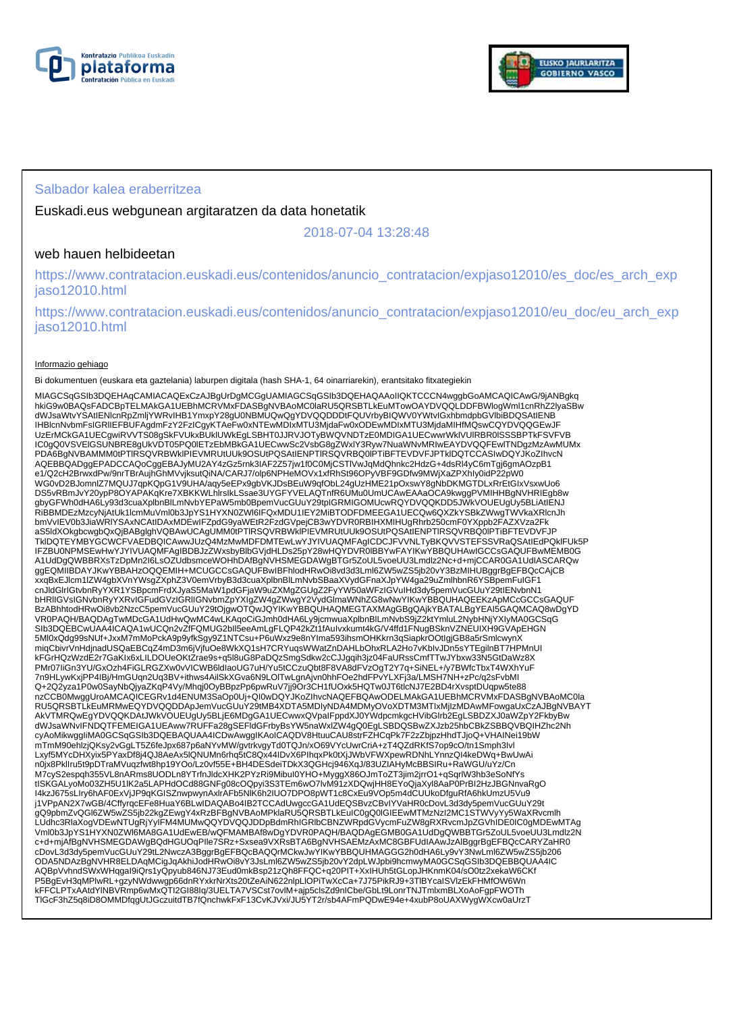



## Salbador kalea eraberritzea

Euskadi.eus webgunean argitaratzen da data honetatik

2018-07-04 13:28:48

## web hauen helbideetan

https://www.contratacion.euskadi.eus/contenidos/anuncio\_contratacion/expjaso12010/es\_doc/es\_arch\_exp jaso12010.html

https://www.contratacion.euskadi.eus/contenidos/anuncio\_contratacion/expjaso12010/eu\_doc/eu\_arch\_exp jaso12010.html

#### Informazio gehiago

Bi dokumentuen (euskara eta gaztelania) laburpen digitala (hash SHA-1, 64 oinarriarekin), erantsitako fitxategiekin

MIAGCSqGSIb3DQEHAqCAMIACAQExCzAJBgUrDgMCGgUAMIAGCSqGSIb3DQEHAQAAoIIQKTCCCN4wggbGoAMCAQICAwG/9jANBgkq hkiG9w0BAQsFADCBpTELMAkGA1UEBhMCRVMxFDASBgNVBAoMC0laRU5QRSBTLkEuMTowOAYDVQQLDDFBWlogWml1cnRhZ2lyaSBw dWJsaWtvYSAtIENlcnRpZmljYWRvIHB1YmxpY28gU0NBMUQwQgYDVQQDDDtFQUVrbyBIQWV0YWtvIGxhbmdpbGVlbiBDQSAtIENB IHBlcnNvbmFsIGRlIEFBUFAgdmFzY2FzICgyKTAeFw0xNTEwMDIxMTU3MjdaFw0xODEwMDIxMTU3MjdaMIHfMQswCQYDVQQGEwJF UzErMCkGA1UECgwiRVVTS08gSkFVUkxBUklUWkEgLSBHT0JJRVJOTyBWQVNDTzE0MDIGA1UECwwrWklVUlRBR0lSSSBPTkFSVFVB IC0gQ0VSVElGSUNBRE8gUkVDT05PQ0lETzEbMBkGA1UECwwSc2VsbG8gZWxlY3Ryw7NuaWNvMRIwEAYDVQQFEwlTNDgzMzAwMUMx PDA6BgNVBAMMM0tPTlRSQVRBWklPIEVMRUtUUk9OSUtPQSAtIENPTlRSQVRBQ0lPTiBFTEVDVFJPTklDQTCCASIwDQYJKoZIhvcN AQEBBQADggEPADCCAQoCggEBAJyMU2AY4zGz5rnk3IAF2Z57jw1f0C0MjCSTIVwJqMdQhnkc2HdzG+4dsRl4yC6mTgj6gmAOzpB1<br>e1/Q2cH2BrwxdPw/9nrTBrAujhGhMVvjksutQiNA/CARJ7/olp6NPHeMOVx1xfRhSt96OPyVBF9GDfw9MWjXaZPXhIy0idP22pW0<br>WG0vD2BJomnlZ7MQUJ7q DS5vRBmJvY20ypP8OYAPAKqKre7XBKKWLhlrsIkLSsae3UYGFYVELAQTnfR6UMu0UmUCAwEAAaOCA9kwggPVMIHHBgNVHRIEgb8w gbyGFWh0dHA6Ly93d3cuaXplbnBlLmNvbYEPaW5mb0BpemVucGUuY29tpIGRMIGOMUcwRQYDVQQKDD5JWkVOUEUgUy5BLiAtIENJ<br>RiBBMDEzMzcyNjAtUk1lcmMuVml0b3JpYS1HYXN0ZWI6IFQxMDU1IEY2MiBTODFDMEEGA1UECQw6QXZkYSBkZWwgTWVkaXRlcnJh bmVvIEV0b3JiaWRIYSAxNCAtIDAxMDEwIFZpdG9yaWEtR2FzdGVpejCB3wYDVR0RBIHXMIHUgRhrb250cmF0YXppb2FAZXVza2Fk<br>aS5ldXOkgbcwgbQxQjBABglghVQBAwUCAgUMM0tPTIRSQVRBWkIPIEVMRUtUUk9OSUtPQSAtIENPTIRSQVRBQ0IPTiBFTEVDVFJP TkIDQTEYMBYGCWCFVAEDBQICAwwJUzQ4MzMwMDFDMTEwLwYJYIVUAQMFAgICDCJFVVNLTyBKQVVSTEFSSVRaQSAtIEdPQkIFUk5P<br>IFZBU0NPMSEwHwYJYIVUAQMFAgIBDBJzZWxsbyBlbGVjdHLDs25pY28wHQYDVR0IBBYwFAYIKwYBBQUHAwIGCCsGAQUFBwMEMB0G<br>A1UdDgQWBBRXsTzDpMn2 ggEQMIIBDAYJKwYBBAHzOQQEMIH+MCUGCCsGAQUFBwIBFhlodHRwOi8vd3d3Lml6ZW5wZS5jb20vY3BzMIHUBggrBgEFBQcCAjCB xxqBxEJlcm1lZW4gbXVnYWsgZXphZ3V0emVrbyB3d3cuaXplbnBlLmNvbSBaaXVydGFnaXJpYW4ga29uZmlhbnR6YSBpemFuIGF1 cnJldGlrIGtvbnRyYXR1YSBpcmFrdXJyaS5MaW1pdGFjaW9uZXMgZGUgZ2FyYW50aWFzIGVuIHd3dy5pemVucGUuY29tIENvbnN1 bHRlIGVsIGNvbnRyYXRvIGFudGVzIGRlIGNvbmZpYXIgZW4gZWwgY2VydGlmaWNhZG8wNwYIKwYBBQUHAQEEKzApMCcGCCsGAQUF BzABhhtodHRwOi8vb2NzcC5pemVucGUuY29tOjgwOTQwJQYIKwYBBQUHAQMEGTAXMAgGBgQAjkYBATALBgYEAI5GAQMCAQ8wDgYD VR0PAQH/BAQDAgTwMDcGA1UdHwQwMC4wLKAqoCiGJmh0dHA6Ly9jcmwuaXplbnBlLmNvbS9jZ2ktYmluL2NybHNjYXIyMA0GCSqG<br>SIb3DQEBCwUAA4ICAQA1wUCQn2vZfFQMUG2bll5eeAmLgFLQP42kZt1fAuIvxkumt4kG/V4ffd1FNugBSknVZNEUIXH9GVApEHGN 5Ml0xQdg99sNUf+JxxM7mMoPckA9p9yfkSgy9Z1NTCsu+P6uWxz9e8nYIma593ihsmOHKkrn3qSiapkrOOtIgjGB8a5rSmlcwynX miqCbivrVnHdjnadUSQaEBCqZ4mD3m6jVjfuOe8WkXQ1sH7CRYuqsWWatZnDAHLbOhxRLA2Ho7vKbIvJDn5sYTEgilnBT7HPMnUI kFGrHQzWzdE2r7GaKIx6xLILDOUeOKtZrae9s+q5l8uG8PaDQzSmgSdkw2cCJJgqih3jz04FaURssCmfTTwJYbxw33N5GtDaWz8X PMr07IiGn3YU/GxOzh4FiGLRGZXw0vVICWB6ldIaoUG7uH/Yu5tCCzuQbt8F8VA8dFVzOgT2Y7q+SiNEL+/y7BWfcTbxT4WXhYuF 7n9HLywKxjPP4IBj/HmGUqn2Uq3BV+ithws4AilSkXGva6N9LOlTwLgnAjvn0hhFOe2hdFPvYLXFj3a/LMSH7NH+zPc/q2sFvbMI Q+2Q2yza1P0w0SayNbQjyaZKqP4Vy/Mhqj0OyBBpzPp6pwRuV7jj9Or3CH1fUOxk5HQTw0JT6tlcNJ7E2BD4rXvsptDUqpw5te88<br>nzCCB0MwggUroAMCAQICEGRv1d4ENUM3SaOp0Uj+QI0wDQYJKoZIhvcNAQEFBQAwODELMAkGA1UEBhMCRVMxFDASBgNVBAoMC0la<br>RU5QRSBTLkEuMRMwEQYD AkVTMRQwEgYDVQQKDAtJWkVOUEUgUy5BLjE6MDgGA1UECwwxQVpaIFppdXJ0YWdpcmkgcHVibGIrb2EgLSBDZXJ0aWZpY2FkbyBw<br>dWJsaWNvIFNDQTFEMEIGA1UEAww7RUFFa28gSEFIdGFrbyBsYW5naWxlZW4gQ0EgLSBDQSBwZXJzb25hbCBkZSBBQVBQIHZhc2Nh cyAoMikwggIiMA0GCSqGSIb3DQEBAQUAA4ICDwAwggIKAoICAQDV8HtuuCAU8strFZHCqPk7F2zZbjpzHhdTJjoQ+VHAINei19bW mTmM90ehlzjQKsy2vGgLT5Z6feJpx687p6aNYvMW/gvtrkvgyTd0TQJn/xO69VYcUwrCriA+zT4QZdRKfS7op9cO/tn1Smph3Ivl Lxyf5MYcDHXyix5PYaxDf8j4QJ8AeAx5lQNUMn6rhq5tC8Qx44IDvX6PIhqxPk0tXjJWbVFWXpewRDNhLYnnzQI4keDWq+BwUwAi n0jx8PklIru5t9pDTraMVuqzfwt8hp19YOo/Lz0vf55E+BH4DESdeiTDkX3QGHcj946XqJ/83UZIAHyMcBBSIRu+RaWGU/uYz/Cn M7cyS2espqh355VL8nARms8UODLn8YTrfnJldcXHK2PYzRi9MibuI0YHO+MyggX86OJmToZT3jim2jrrO1+qSqrlW3hb3eSoNfYs<br>tISKGALyoMo03ZH5U1IK2a5LAPHdOCd88GNFg08cOQpyi3S3TEm6wO7lvM91zXDQwjHH8EYoQjaXyI8AaP0PrBI2HzJBGNnvaRgO I4kzJ675sLIry6hAF0ExVjJP9qKGISZnwpwynAxlrAFb5NlK6h2IUO7DPO8pWT1c8CxEu9VOp5m4dCUUkoDfguRfA6hkUmzU5Vu9 j1VPpAN2X7wGB/4CffyrqcEFe8HuaY6BLwIDAQABo4IB2TCCAdUwgccGA1UdEQSBvzCBvIYVaHR0cDovL3d3dy5pemVucGUuY29t gQ9pbmZvQGl6ZW5wZS5jb22kgZEwgY4xRzBFBgNVBAoMPklaRU5QRSBTLkEuIC0gQ0IGIEEwMTMzNzI2MC1STWVyYy5WaXRvcmlh<br>LUdhc3RlaXogVDEwNTUgRjYyIFM4MUMwQQYDVQQJDDpBdmRhIGRlbCBNZWRpdGVycmFuZW8gRXRvcmJpZGVhIDE0IC0gMDEwMTAg Vml0b3JpYS1HYXN0ZWl6MA8GA1UdEwEB/wQFMAMBAf8wDgYDVR0PAQH/BAQDAgEGMB0GA1UdDgQWBBTGr5ZoUL5voeUU3Lmdlz2N c+d+mjAfBgNVHSMEGDAWgBQdHGUOqPIle7SRz+Sxsea9VXRsBTA6BgNVHSAEMzAxMC8GBFUdIAAwJzAlBggrBgEFBQcCARYZaHR0 cDovL3d3dy5pemVucGUuY29tL2NwczA3BggrBgEFBQcBAQQrMCkwJwYIKwYBBQUHMAGGG2h0dHA6Ly9vY3NwLml6ZW5wZS5jb206<br>ODA5NDAzBgNVHR8ELDAqMCigJqAkhiJodHRwOi8vY3JsLml6ZW5wZS5jb20vY2dpLWJpbi9hcmwyMA0GCSqGSIb3DQEBBQUAA4IC<br>AQBpVvhndSWxWHqgal9i P5BgEvH3qMPlwRL+gzyNWdwwgp66dnRYxkrNrXts20tZeAiN622nlpLlOPiTwXcCa+7J75PikRJ9+3TlBYcaISVlzEkFHMfOW6Wn kFFCLPTxAAtdYlNBVRmp6wMxQTI2GI88Iq/3UELTA7VSCst7ovlM+ajp5clsZd9nICbe/GbLt9LonrTNJTmlxmBLXoAoFgpFWOTh TlGcF3hZ5q8iD8OMMDfqgUtJGczuitdTB7fQnchwkFxF13CvKJVxi/JU5YT2r/sb4AFmPQDwE94e+4xubP8oUAXWygWXcw0aUrzT